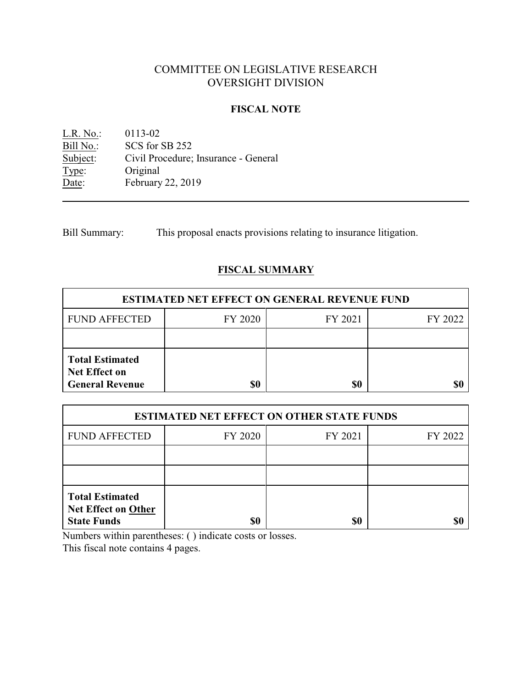# COMMITTEE ON LEGISLATIVE RESEARCH OVERSIGHT DIVISION

### **FISCAL NOTE**

L.R. No.: 0113-02<br>
Bill No.: SCS for : Bill No.: SCS for SB 252<br>Subject: Civil Procedure; Civil Procedure; Insurance - General Type: Original Date: February 22, 2019

Bill Summary: This proposal enacts provisions relating to insurance litigation.

## **FISCAL SUMMARY**

| <b>ESTIMATED NET EFFECT ON GENERAL REVENUE FUND</b>                      |         |         |         |  |
|--------------------------------------------------------------------------|---------|---------|---------|--|
| <b>FUND AFFECTED</b>                                                     | FY 2020 | FY 2021 | FY 2022 |  |
|                                                                          |         |         |         |  |
| <b>Total Estimated</b><br><b>Net Effect on</b><br><b>General Revenue</b> |         | \$0     |         |  |

| <b>ESTIMATED NET EFFECT ON OTHER STATE FUNDS</b>                           |         |         |         |  |
|----------------------------------------------------------------------------|---------|---------|---------|--|
| <b>FUND AFFECTED</b>                                                       | FY 2020 | FY 2021 | FY 2022 |  |
|                                                                            |         |         |         |  |
|                                                                            |         |         |         |  |
| <b>Total Estimated</b><br><b>Net Effect on Other</b><br><b>State Funds</b> | \$0     | \$0     |         |  |

Numbers within parentheses: ( ) indicate costs or losses.

This fiscal note contains 4 pages.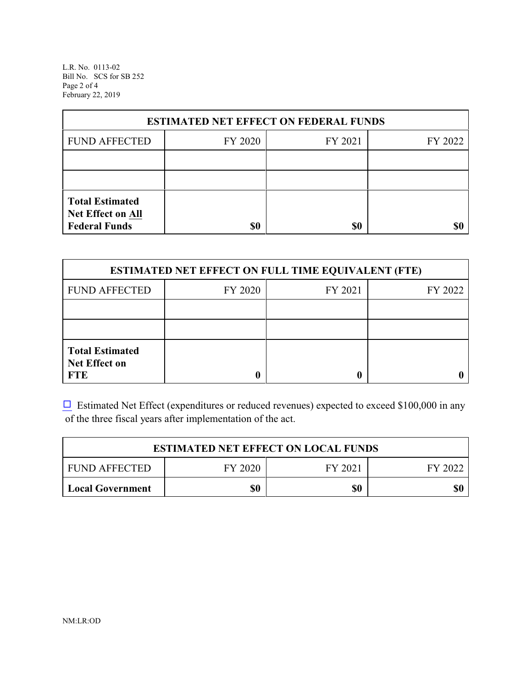L.R. No. 0113-02 Bill No. SCS for SB 252 Page 2 of 4 February 22, 2019

| <b>ESTIMATED NET EFFECT ON FEDERAL FUNDS</b>                        |         |         |         |  |
|---------------------------------------------------------------------|---------|---------|---------|--|
| <b>FUND AFFECTED</b>                                                | FY 2020 | FY 2021 | FY 2022 |  |
|                                                                     |         |         |         |  |
|                                                                     |         |         |         |  |
| <b>Total Estimated</b><br>Net Effect on All<br><b>Federal Funds</b> | \$0     | \$0     |         |  |

| <b>ESTIMATED NET EFFECT ON FULL TIME EQUIVALENT (FTE)</b>    |         |         |         |  |
|--------------------------------------------------------------|---------|---------|---------|--|
| <b>FUND AFFECTED</b>                                         | FY 2020 | FY 2021 | FY 2022 |  |
|                                                              |         |         |         |  |
|                                                              |         |         |         |  |
| <b>Total Estimated</b><br><b>Net Effect on</b><br><b>FTE</b> |         |         |         |  |

 $\Box$  Estimated Net Effect (expenditures or reduced revenues) expected to exceed \$100,000 in any of the three fiscal years after implementation of the act.

| <b>ESTIMATED NET EFFECT ON LOCAL FUNDS</b> |         |         |         |
|--------------------------------------------|---------|---------|---------|
| <b>FUND AFFECTED</b>                       | FY 2020 | FY 2021 | FY 2022 |
| Local Government                           | \$0     | \$0     | \$0     |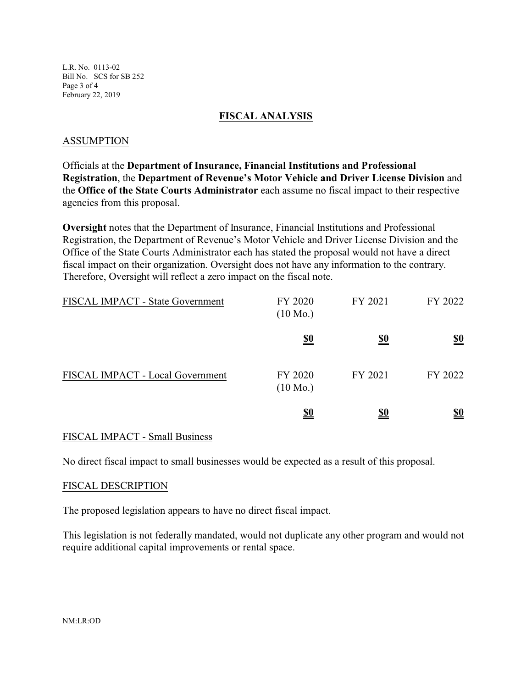L.R. No. 0113-02 Bill No. SCS for SB 252 Page 3 of 4 February 22, 2019

### **FISCAL ANALYSIS**

### ASSUMPTION

Officials at the **Department of Insurance, Financial Institutions and Professional Registration**, the **Department of Revenue's Motor Vehicle and Driver License Division** and the **Office of the State Courts Administrator** each assume no fiscal impact to their respective agencies from this proposal.

**Oversight** notes that the Department of Insurance, Financial Institutions and Professional Registration, the Department of Revenue's Motor Vehicle and Driver License Division and the Office of the State Courts Administrator each has stated the proposal would not have a direct fiscal impact on their organization. Oversight does not have any information to the contrary. Therefore, Oversight will reflect a zero impact on the fiscal note.

| FISCAL IMPACT - State Government | FY 2020<br>$(10 \text{ Mo.})$ | FY 2021    | FY 2022                       |
|----------------------------------|-------------------------------|------------|-------------------------------|
|                                  | <u>\$0</u>                    | <u>\$0</u> | $\underline{\underline{\$0}}$ |
| FISCAL IMPACT - Local Government | FY 2020<br>$(10 \text{ Mo.})$ | FY 2021    | FY 2022                       |
|                                  | <u>\$0</u>                    | <u>\$0</u> | <u>\$0</u>                    |

### FISCAL IMPACT - Small Business

No direct fiscal impact to small businesses would be expected as a result of this proposal.

#### FISCAL DESCRIPTION

The proposed legislation appears to have no direct fiscal impact.

This legislation is not federally mandated, would not duplicate any other program and would not require additional capital improvements or rental space.